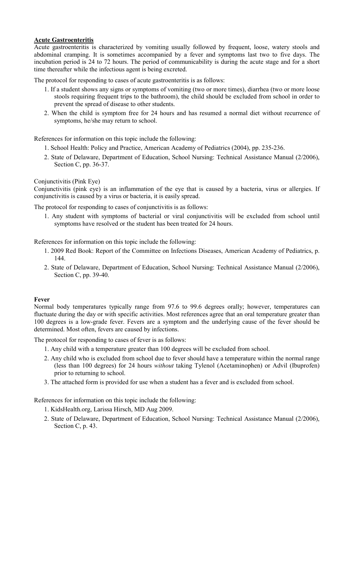# **Acute Gastroenteritis**

Acute gastroenteritis is characterized by vomiting usually followed by frequent, loose, watery stools and abdominal cramping. It is sometimes accompanied by a fever and symptoms last two to five days. The incubation period is 24 to 72 hours. The period of communicability is during the acute stage and for a short time thereafter while the infectious agent is being excreted.

The protocol for responding to cases of acute gastroenteritis is as follows:

- 1. If a student shows any signs or symptoms of vomiting (two or more times), diarrhea (two or more loose stools requiring frequent trips to the bathroom), the child should be excluded from school in order to prevent the spread of disease to other students.
- 2. When the child is symptom free for 24 hours and has resumed a normal diet without recurrence of symptoms, he/she may return to school.

References for information on this topic include the following:

- 1. School Health: Policy and Practice, American Academy of Pediatrics (2004), pp. 235-236.
- 2. State of Delaware, Department of Education, School Nursing: Technical Assistance Manual (2/2006), Section C, pp. 36-37.

Conjunctivitis (Pink Eye)

Conjunctivitis (pink eye) is an inflammation of the eye that is caused by a bacteria, virus or allergies. If conjunctivitis is caused by a virus or bacteria, it is easily spread.

The protocol for responding to cases of conjunctivitis is as follows:

1. Any student with symptoms of bacterial or viral conjunctivitis will be excluded from school until symptoms have resolved or the student has been treated for 24 hours.

References for information on this topic include the following:

- 1. 2009 Red Book: Report of the Committee on Infections Diseases, American Academy of Pediatrics, p. 144.
- 2. State of Delaware, Department of Education, School Nursing: Technical Assistance Manual (2/2006), Section C, pp. 39-40.

### **Fever**

Normal body temperatures typically range from 97.6 to 99.6 degrees orally; however, temperatures can fluctuate during the day or with specific activities. Most references agree that an oral temperature greater than 100 degrees is a low-grade fever. Fevers are a symptom and the underlying cause of the fever should be determined. Most often, fevers are caused by infections.

The protocol for responding to cases of fever is as follows:

- 1. Any child with a temperature greater than 100 degrees will be excluded from school.
- 2. Any child who is excluded from school due to fever should have a temperature within the normal range (less than 100 degrees) for 24 hours *without* taking Tylenol (Acetaminophen) or Advil (Ibuprofen) prior to returning to school.
- 3. The attached form is provided for use when a student has a fever and is excluded from school.

References for information on this topic include the following:

- 1. KidsHealth.org, Larissa Hirsch, MD Aug 2009.
- 2. State of Delaware, Department of Education, School Nursing: Technical Assistance Manual (2/2006), Section C, p. 43.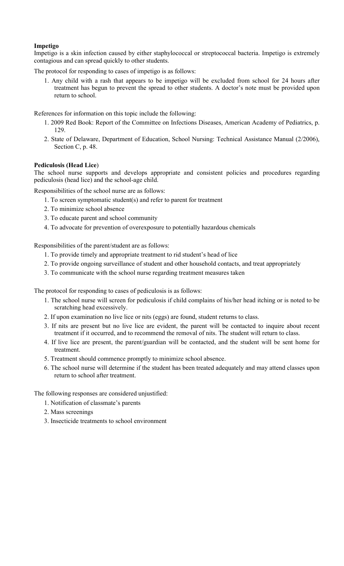# **Impetigo**

Impetigo is a skin infection caused by either staphylococcal or streptococcal bacteria. Impetigo is extremely contagious and can spread quickly to other students.

The protocol for responding to cases of impetigo is as follows:

1. Any child with a rash that appears to be impetigo will be excluded from school for 24 hours after treatment has begun to prevent the spread to other students. A doctor's note must be provided upon return to school.

References for information on this topic include the following:

- 1. 2009 Red Book: Report of the Committee on Infections Diseases, American Academy of Pediatrics, p. 129.
- 2. State of Delaware, Department of Education, School Nursing: Technical Assistance Manual (2/2006), Section C, p. 48.

# **Pediculosis (Head Lice**)

The school nurse supports and develops appropriate and consistent policies and procedures regarding pediculosis (head lice) and the school-age child.

Responsibilities of the school nurse are as follows:

- 1. To screen symptomatic student(s) and refer to parent for treatment
- 2. To minimize school absence
- 3. To educate parent and school community
- 4. To advocate for prevention of overexposure to potentially hazardous chemicals

Responsibilities of the parent/student are as follows:

- 1. To provide timely and appropriate treatment to rid student's head of lice
- 2. To provide ongoing surveillance of student and other household contacts, and treat appropriately
- 3. To communicate with the school nurse regarding treatment measures taken

The protocol for responding to cases of pediculosis is as follows:

- 1. The school nurse will screen for pediculosis if child complains of his/her head itching or is noted to be scratching head excessively.
- 2. If upon examination no live lice or nits (eggs) are found, student returns to class.
- 3. If nits are present but no live lice are evident, the parent will be contacted to inquire about recent treatment if it occurred, and to recommend the removal of nits. The student will return to class.
- 4. If live lice are present, the parent/guardian will be contacted, and the student will be sent home for treatment.
- 5. Treatment should commence promptly to minimize school absence.
- 6. The school nurse will determine if the student has been treated adequately and may attend classes upon return to school after treatment.

The following responses are considered unjustified:

- 1. Notification of classmate's parents
- 2. Mass screenings
- 3. Insecticide treatments to school environment